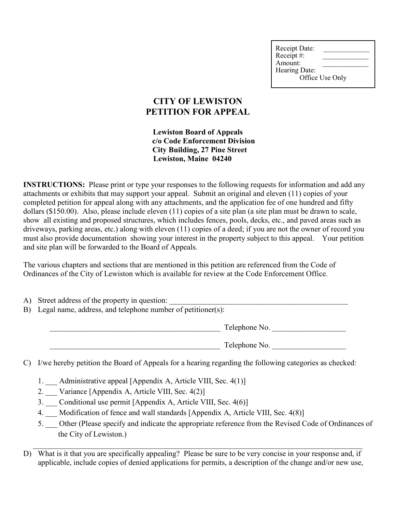Receipt Date: Receipt #: Amount: Hearing Date: Office Use Only

## **CITY OF LEWISTON PETITION FOR APPEAL**

**Lewiston Board of Appeals c/o Code Enforcement Division City Building, 27 Pine Street Lewiston, Maine 04240**

**INSTRUCTIONS:** Please print or type your responses to the following requests for information and add any attachments or exhibits that may support your appeal. Submit an original and eleven (11) copies of your completed petition for appeal along with any attachments, and the application fee of one hundred and fifty dollars (\$150.00). Also, please include eleven (11) copies of a site plan (a site plan must be drawn to scale, show all existing and proposed structures, which includes fences, pools, decks, etc., and paved areas such as driveways, parking areas, etc.) along with eleven (11) copies of a deed; if you are not the owner of record you must also provide documentation showing your interest in the property subject to this appeal. Your petition and site plan will be forwarded to the Board of Appeals.

The various chapters and sections that are mentioned in this petition are referenced from the Code of Ordinances of the City of Lewiston which is available for review at the Code Enforcement Office.

- A) Street address of the property in question:
- B) Legal name, address, and telephone number of petitioner(s):

Telephone No.

Telephone No.

C) I/we hereby petition the Board of Appeals for a hearing regarding the following categories as checked:

- 1. Administrative appeal [Appendix A, Article VIII, Sec. 4(1)]
- 2. Variance [Appendix A, Article VIII, Sec. 4(2)]
- 3. Conditional use permit [Appendix A, Article VIII, Sec. 4(6)]
- 4. Modification of fence and wall standards [Appendix A, Article VIII, Sec. 4(8)]
- 5. Other (Please specify and indicate the appropriate reference from the Revised Code of Ordinances of the City of Lewiston.)
- D) What is it that you are specifically appealing? Please be sure to be very concise in your response and, if applicable, include copies of denied applications for permits, a description of the change and/or new use,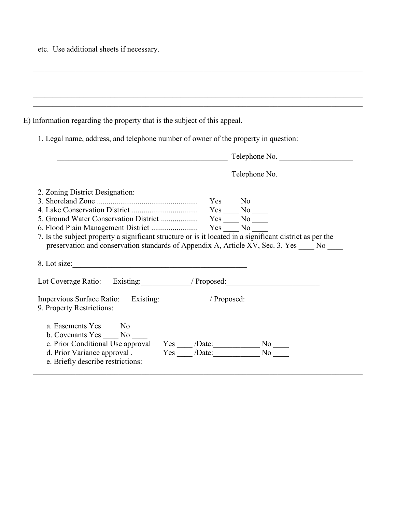etc. Use additional sheets if necessary.

| E) Information regarding the property that is the subject of this appeal.          |  |
|------------------------------------------------------------------------------------|--|
|                                                                                    |  |
| 1. Legal name, address, and telephone number of owner of the property in question: |  |
|                                                                                    |  |
| Tolanhong No                                                                       |  |

|                                                                                                                                                                                                                                                             | Telephone No. |
|-------------------------------------------------------------------------------------------------------------------------------------------------------------------------------------------------------------------------------------------------------------|---------------|
|                                                                                                                                                                                                                                                             | Telephone No. |
| 2. Zoning District Designation:                                                                                                                                                                                                                             |               |
|                                                                                                                                                                                                                                                             |               |
|                                                                                                                                                                                                                                                             |               |
|                                                                                                                                                                                                                                                             |               |
|                                                                                                                                                                                                                                                             |               |
|                                                                                                                                                                                                                                                             |               |
| preservation and conservation standards of Appendix A, Article XV, Sec. 3. Yes No<br>Lot Coverage Ratio: Existing: // Proposed: // Proposed:                                                                                                                |               |
|                                                                                                                                                                                                                                                             |               |
| Impervious Surface Ratio: Existing: // Proposed: // Proposed: // Proposed: // Proposed: // Proposed: // Proposed: // Proposed: // Proposed: // Proposed: // Proposed: // Proposed: // Proposed: // Proposed: // Proposed: // P<br>9. Property Restrictions: |               |

 $\mathcal{L}_\mathcal{L} = \{ \mathcal{L}_\mathcal{L} = \{ \mathcal{L}_\mathcal{L} = \{ \mathcal{L}_\mathcal{L} = \{ \mathcal{L}_\mathcal{L} = \{ \mathcal{L}_\mathcal{L} = \{ \mathcal{L}_\mathcal{L} = \{ \mathcal{L}_\mathcal{L} = \{ \mathcal{L}_\mathcal{L} = \{ \mathcal{L}_\mathcal{L} = \{ \mathcal{L}_\mathcal{L} = \{ \mathcal{L}_\mathcal{L} = \{ \mathcal{L}_\mathcal{L} = \{ \mathcal{L}_\mathcal{L} = \{ \mathcal{L}_\mathcal{$